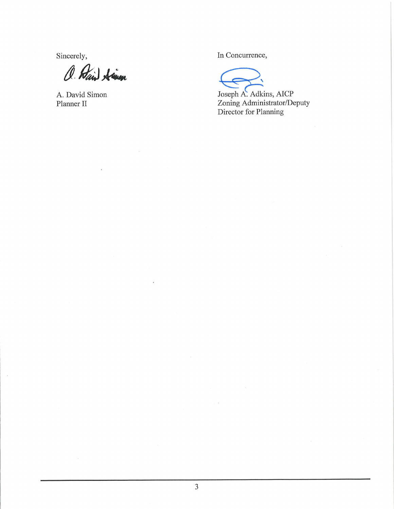Sincerely,

 $\mathcal{L}^{\mathcal{G}}$ 

O. Dain Armen

A. David Simon Planner II

In Concurrence,

Joseph A. Adkins, AICP<br>Zoning Administrator/Deputy<br>Director for Planning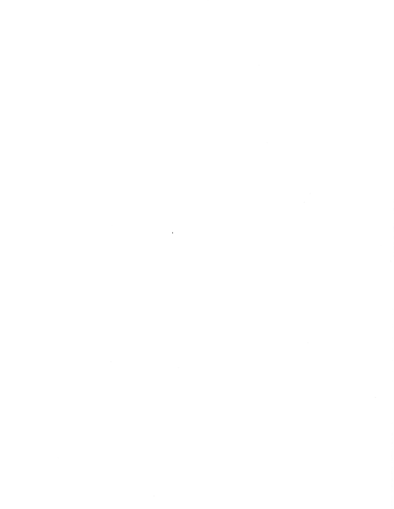$\label{eq:2.1} \mathbf{A} = \mathbf{A} \mathbf{A} + \mathbf{A} \mathbf{A} + \mathbf{A} \mathbf{A} + \mathbf{A} \mathbf{A} + \mathbf{A} \mathbf{A} + \mathbf{A} \mathbf{A} + \mathbf{A} \mathbf{A} + \mathbf{A} \mathbf{A} + \mathbf{A} \mathbf{A} + \mathbf{A} \mathbf{A} + \mathbf{A} \mathbf{A} + \mathbf{A} \mathbf{A} + \mathbf{A} \mathbf{A} + \mathbf{A} \mathbf{A} + \mathbf{A} \mathbf{A} + \mathbf{A} \mathbf$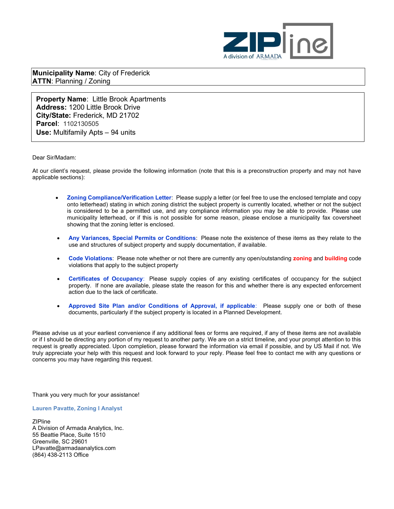

Municipality Name: City of Frederick ATTN: Planning / Zoning

Property Name: Little Brook Apartments Address: 1200 Little Brook Drive City/State: Frederick, MD 21702 Parcel: 1102130505 Use: Multifamily Apts – 94 units

### Dear Sir/Madam:

At our client's request, please provide the following information (note that this is a preconstruction property and may not have applicable sections):

- Zoning Compliance/Verification Letter: Please supply a letter (or feel free to use the enclosed template and copy onto letterhead) stating in which zoning district the subject property is currently located, whether or not the subject is considered to be a permitted use, and any compliance information you may be able to provide. Please use municipality letterhead, or if this is not possible for some reason, please enclose a municipality fax coversheet showing that the zoning letter is enclosed.
- Any Variances, Special Permits or Conditions: Please note the existence of these items as they relate to the use and structures of subject property and supply documentation, if available.
- Code Violations: Please note whether or not there are currently any open/outstanding zoning and building code violations that apply to the subject property
- Certificates of Occupancy: Please supply copies of any existing certificates of occupancy for the subject property. If none are available, please state the reason for this and whether there is any expected enforcement action due to the lack of certificate.
- Approved Site Plan and/or Conditions of Approval, if applicable: Please supply one or both of these documents, particularly if the subject property is located in a Planned Development.

Please advise us at your earliest convenience if any additional fees or forms are required, if any of these items are not available or if I should be directing any portion of my request to another party. We are on a strict timeline, and your prompt attention to this request is greatly appreciated. Upon completion, please forward the information via email if possible, and by US Mail if not. We truly appreciate your help with this request and look forward to your reply. Please feel free to contact me with any questions or concerns you may have regarding this request.

Thank you very much for your assistance!

Lauren Pavatte, Zoning I Analyst

ZIPline A Division of Armada Analytics, Inc. 55 Beattie Place, Suite 1510 Greenville, SC 29601 LPavatte@armadaanalytics.com (864) 438-2113 Office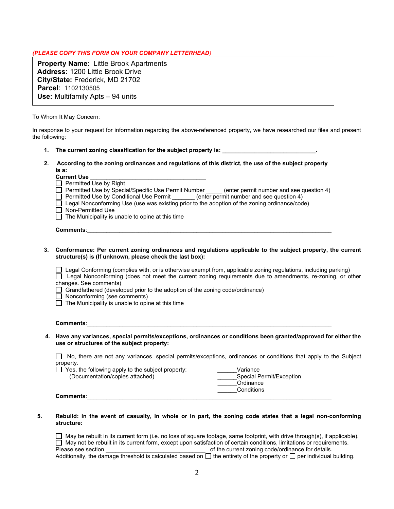# (PLEASE COPY THIS FORM ON YOUR COMPANY LETTERHEAD)

**Property Name: Little Brook Apartments** Address: 1200 Little Brook Drive City/State: Frederick, MD 21702 Parcel: 1102130505 Use: Multifamily Apts – 94 units

# To Whom It May Concern:

In response to your request for information regarding the above-referenced property, we have researched our files and present the following:

- 1. The current zoning classification for the subject property is:
- 2. According to the zoning ordinances and regulations of this district, the use of the subject property is a:
	- **Current Use**
	- $\Box$  Permitted Use by Right
	- □ Permitted Use by Special/Specific Use Permit Number \_\_\_\_\_ (enter permit number and see question 4)
	- □ Permitted Use by Conditional Use Permit \_\_\_\_\_\_\_ (enter permit number and see question 4)
	- Legal Nonconforming Use (use was existing prior to the adoption of the zoning ordinance/code)
	- Non-Permitted Use
	- $\Box$  The Municipality is unable to opine at this time

### Comments:

3. Conformance: Per current zoning ordinances and regulations applicable to the subject property, the current structure(s) is (If unknown, please check the last box):

 $\Box$  Legal Conforming (complies with, or is otherwise exempt from, applicable zoning regulations, including parking) □ Legal Nonconforming (does not meet the current zoning requirements due to amendments, re-zoning, or other

- changes. See comments)
- $\Box$  Grandfathered (developed prior to the adoption of the zoning code/ordinance)
- $\Box$  Nonconforming (see comments)
- $\Box$  The Municipality is unable to opine at this time

# Comments:\_\_\_\_\_\_\_\_\_\_\_\_\_\_\_\_\_\_\_\_\_\_\_\_\_\_\_\_\_\_\_\_\_\_\_\_\_\_\_\_\_\_\_\_\_\_\_\_\_\_\_\_\_\_\_\_\_\_\_\_\_\_\_\_\_\_\_\_\_\_\_\_\_\_\_\_

 4. Have any variances, special permits/exceptions, ordinances or conditions been granted/approved for either the use or structures of the subject property:

 $\Box$  No, there are not any variances, special permits/exceptions, ordinances or conditions that apply to the Subject property.

| $\Box$ Yes, the following apply to the subject property: | Variance                 |
|----------------------------------------------------------|--------------------------|
| (Documentation/copies attached)                          | Special Permit/Exception |
|                                                          | Ordinance                |
|                                                          | Conditions               |
| Comments:                                                |                          |

### 5. Rebuild: In the event of casualty, in whole or in part, the zoning code states that a legal non-conforming structure:

 $\Box$  May be rebuilt in its current form (i.e. no loss of square footage, same footprint, with drive through(s), if applicable).  $\Box$  May not be rebuilt in its current form, except upon satisfaction of certain conditions, limitations or requirements. Please see section **Please** section **and the current zoning code/ordinance for details.** Additionally, the damage threshold is calculated based on  $\Box$  the entirety of the property or  $\Box$  per individual building.